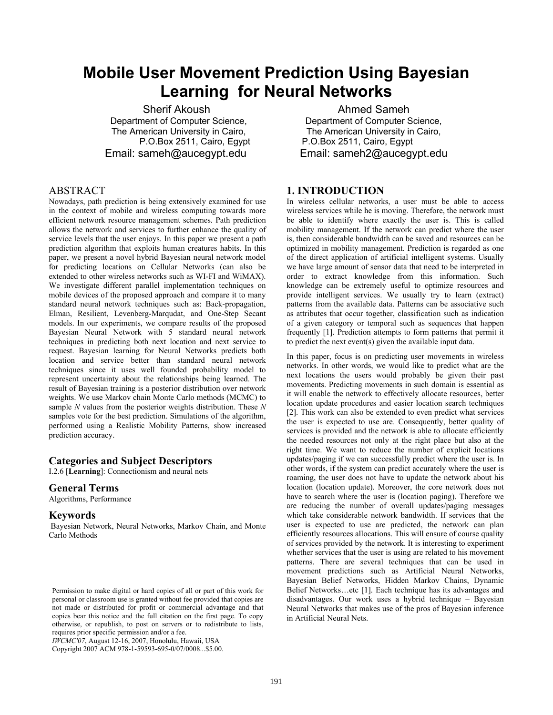# **Mobile User Movement Prediction Using Bayesian Learning for Neural Networks**

P.O.Box 2511, Cairo, Egypt P.O.Box 2511, Cairo, Egypt

#### ABSTRACT

Nowadays, path prediction is being extensively examined for use in the context of mobile and wireless computing towards more efficient network resource management schemes. Path prediction allows the network and services to further enhance the quality of service levels that the user enjoys. In this paper we present a path prediction algorithm that exploits human creatures habits. In this paper, we present a novel hybrid Bayesian neural network model for predicting locations on Cellular Networks (can also be extended to other wireless networks such as WI-FI and WiMAX). We investigate different parallel implementation techniques on mobile devices of the proposed approach and compare it to many standard neural network techniques such as: Back-propagation, Elman, Resilient, Levenberg-Marqudat, and One-Step Secant models. In our experiments, we compare results of the proposed Bayesian Neural Network with 5 standard neural network techniques in predicting both next location and next service to request. Bayesian learning for Neural Networks predicts both location and service better than standard neural network techniques since it uses well founded probability model to represent uncertainty about the relationships being learned. The result of Bayesian training is a posterior distribution over network weights. We use Markov chain Monte Carlo methods (MCMC) to sample *N* values from the posterior weights distribution. These *N* samples vote for the best prediction. Simulations of the algorithm, performed using a Realistic Mobility Patterns, show increased prediction accuracy.

#### **Categories and Subject Descriptors**

I.2.6 [**Learning**]: Connectionism and neural nets

#### **General Terms**

Algorithms, Performance

#### **Keywords**

 Bayesian Network, Neural Networks, Markov Chain, and Monte Carlo Methods

Copyright 2007 ACM 978-1-59593-695-0/07/0008...\$5.00.

Sherif Akoush **Ahmed Sameh** Department of Computer Science, Department of Computer Science, The American University in Cairo, The American University in Cairo, Email: sameh@aucegypt.edu Email: sameh2@aucegypt.edu

#### **1. INTRODUCTION**

In wireless cellular networks, a user must be able to access wireless services while he is moving. Therefore, the network must be able to identify where exactly the user is. This is called mobility management. If the network can predict where the user is, then considerable bandwidth can be saved and resources can be optimized in mobility management. Prediction is regarded as one of the direct application of artificial intelligent systems. Usually we have large amount of sensor data that need to be interpreted in order to extract knowledge from this information. Such knowledge can be extremely useful to optimize resources and provide intelligent services. We usually try to learn (extract) patterns from the available data. Patterns can be associative such as attributes that occur together, classification such as indication of a given category or temporal such as sequences that happen frequently [1]. Prediction attempts to form patterns that permit it to predict the next event(s) given the available input data.

In this paper, focus is on predicting user movements in wireless networks. In other words, we would like to predict what are the next locations the users would probably be given their past movements. Predicting movements in such domain is essential as it will enable the network to effectively allocate resources, better location update procedures and easier location search techniques [2]. This work can also be extended to even predict what services the user is expected to use are. Consequently, better quality of services is provided and the network is able to allocate efficiently the needed resources not only at the right place but also at the right time. We want to reduce the number of explicit locations updates/paging if we can successfully predict where the user is. In other words, if the system can predict accurately where the user is roaming, the user does not have to update the network about his location (location update). Moreover, the core network does not have to search where the user is (location paging). Therefore we are reducing the number of overall updates/paging messages which take considerable network bandwidth. If services that the user is expected to use are predicted, the network can plan efficiently resources allocations. This will ensure of course quality of services provided by the network. It is interesting to experiment whether services that the user is using are related to his movement patterns. There are several techniques that can be used in movement predictions such as Artificial Neural Networks, Bayesian Belief Networks, Hidden Markov Chains, Dynamic Belief Networks…etc [1]. Each technique has its advantages and disadvantages. Our work uses a hybrid technique – Bayesian Neural Networks that makes use of the pros of Bayesian inference in Artificial Neural Nets.

Permission to make digital or hard copies of all or part of this work for personal or classroom use is granted without fee provided that copies are not made or distributed for profit or commercial advantage and that copies bear this notice and the full citation on the first page. To copy otherwise, or republish, to post on servers or to redistribute to lists, requires prior specific permission and/or a fee.

*IWCMC'07*, August 12-16, 2007, Honolulu, Hawaii, USA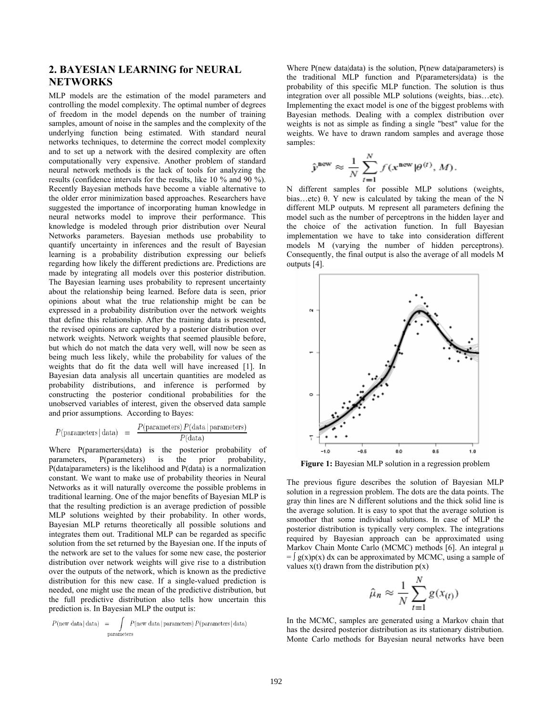# **2. BAYESIAN LEARNING for NEURAL NETWORKS**

MLP models are the estimation of the model parameters and controlling the model complexity. The optimal number of degrees of freedom in the model depends on the number of training samples, amount of noise in the samples and the complexity of the underlying function being estimated. With standard neural networks techniques, to determine the correct model complexity and to set up a network with the desired complexity are often computationally very expensive. Another problem of standard neural network methods is the lack of tools for analyzing the results (confidence intervals for the results, like 10 % and 90 %). Recently Bayesian methods have become a viable alternative to the older error minimization based approaches. Researchers have suggested the importance of incorporating human knowledge in neural networks model to improve their performance. This knowledge is modeled through prior distribution over Neural Networks parameters. Bayesian methods use probability to quantify uncertainty in inferences and the result of Bayesian learning is a probability distribution expressing our beliefs regarding how likely the different predictions are. Predictions are made by integrating all models over this posterior distribution. The Bayesian learning uses probability to represent uncertainty about the relationship being learned. Before data is seen, prior opinions about what the true relationship might be can be expressed in a probability distribution over the network weights that define this relationship. After the training data is presented, the revised opinions are captured by a posterior distribution over network weights. Network weights that seemed plausible before, but which do not match the data very well, will now be seen as being much less likely, while the probability for values of the weights that do fit the data well will have increased [1]. In Bayesian data analysis all uncertain quantities are modeled as probability distributions, and inference is performed by constructing the posterior conditional probabilities for the unobserved variables of interest, given the observed data sample and prior assumptions. According to Bayes:

$$
P(\text{parameters} | \text{data}) = \frac{P(\text{parameters}) P(\text{data} | \text{parameters})}{P(\text{data})}
$$

Where P(paramerters|data) is the posterior probability of parameters, P(parameters) is the prior probability, P(data|parameters) is the likelihood and P(data) is a normalization constant. We want to make use of probability theories in Neural Networks as it will naturally overcome the possible problems in traditional learning. One of the major benefits of Bayesian MLP is that the resulting prediction is an average prediction of possible MLP solutions weighted by their probability. In other words, Bayesian MLP returns theoretically all possible solutions and integrates them out. Traditional MLP can be regarded as specific solution from the set returned by the Bayesian one. If the inputs of the network are set to the values for some new case, the posterior distribution over network weights will give rise to a distribution over the outputs of the network, which is known as the predictive distribution for this new case. If a single-valued prediction is needed, one might use the mean of the predictive distribution, but the full predictive distribution also tells how uncertain this prediction is. In Bayesian MLP the output is:

$$
P(\text{new data} | \text{ data}) = \int_{\text{parameters}} P(\text{new data} | \text{parameters}) P(\text{parameters} | \text{ data})
$$
parameters

Where P(new data|data) is the solution, P(new data|parameters) is the traditional MLP function and P(parameters|data) is the probability of this specific MLP function. The solution is thus integration over all possible MLP solutions (weights, bias…etc). Implementing the exact model is one of the biggest problems with Bayesian methods. Dealing with a complex distribution over weights is not as simple as finding a single "best" value for the weights. We have to drawn random samples and average those samples:

$$
\hat{y}^{\text{new}} \approx \frac{1}{N} \sum_{t=1}^{N} f(x^{\text{new}} | \theta^{(t)}, M).
$$

N different samples for possible MLP solutions (weights, bias…etc) θ. Y new is calculated by taking the mean of the N different MLP outputs. M represent all parameters defining the model such as the number of perceptrons in the hidden layer and the choice of the activation function. In full Bayesian implementation we have to take into consideration different models M (varying the number of hidden perceptrons). Consequently, the final output is also the average of all models M outputs [4].



**Figure 1:** Bayesian MLP solution in a regression problem

The previous figure describes the solution of Bayesian MLP solution in a regression problem. The dots are the data points. The gray thin lines are N different solutions and the thick solid line is the average solution. It is easy to spot that the average solution is smoother that some individual solutions. In case of MLP the posterior distribution is typically very complex. The integrations required by Bayesian approach can be approximated using Markov Chain Monte Carlo (MCMC) methods [6]. An integral μ  $=$   $\int g(x)p(x) dx$  can be approximated by MCMC, using a sample of values  $x(t)$  drawn from the distribution  $p(x)$ 

$$
\hat{\mu}_n \approx \frac{1}{N} \sum_{t=1}^N g(x_{(t)})
$$

In the MCMC, samples are generated using a Markov chain that has the desired posterior distribution as its stationary distribution. Monte Carlo methods for Bayesian neural networks have been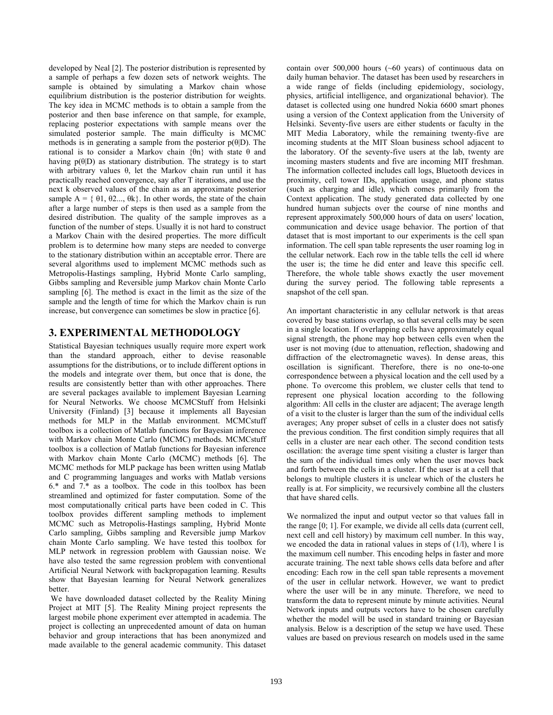developed by Neal [2]. The posterior distribution is represented by a sample of perhaps a few dozen sets of network weights. The sample is obtained by simulating a Markov chain whose equilibrium distribution is the posterior distribution for weights. The key idea in MCMC methods is to obtain a sample from the posterior and then base inference on that sample, for example, replacing posterior expectations with sample means over the simulated posterior sample. The main difficulty is MCMC methods is in generating a sample from the posterior  $p(\theta|D)$ . The rational is to consider a Markov chain {θn} with state θ and having  $p(\theta|D)$  as stationary distribution. The strategy is to start with arbitrary values  $\theta$ , let the Markov chain run until it has practically reached convergence, say after T iterations, and use the next k observed values of the chain as an approximate posterior sample  $A = \{ \theta_1, \theta_2, \ldots, \theta_k \}$ . In other words, the state of the chain after a large number of steps is then used as a sample from the desired distribution. The quality of the sample improves as a function of the number of steps. Usually it is not hard to construct a Markov Chain with the desired properties. The more difficult problem is to determine how many steps are needed to converge to the stationary distribution within an acceptable error. There are several algorithms used to implement MCMC methods such as Metropolis-Hastings sampling, Hybrid Monte Carlo sampling, Gibbs sampling and Reversible jump Markov chain Monte Carlo sampling [6]. The method is exact in the limit as the size of the sample and the length of time for which the Markov chain is run increase, but convergence can sometimes be slow in practice [6].

## **3. EXPERIMENTAL METHODOLOGY**

Statistical Bayesian techniques usually require more expert work than the standard approach, either to devise reasonable assumptions for the distributions, or to include different options in the models and integrate over them, but once that is done, the results are consistently better than with other approaches. There are several packages available to implement Bayesian Learning for Neural Networks. We choose MCMCStuff from Helsinki University (Finland) [3] because it implements all Bayesian methods for MLP in the Matlab environment. MCMCstuff toolbox is a collection of Matlab functions for Bayesian inference with Markov chain Monte Carlo (MCMC) methods. MCMCstuff toolbox is a collection of Matlab functions for Bayesian inference with Markov chain Monte Carlo (MCMC) methods [6]. The MCMC methods for MLP package has been written using Matlab and C programming languages and works with Matlab versions 6.\* and 7.\* as a toolbox. The code in this toolbox has been streamlined and optimized for faster computation. Some of the most computationally critical parts have been coded in C. This toolbox provides different sampling methods to implement MCMC such as Metropolis-Hastings sampling, Hybrid Monte Carlo sampling, Gibbs sampling and Reversible jump Markov chain Monte Carlo sampling. We have tested this toolbox for MLP network in regression problem with Gaussian noise. We have also tested the same regression problem with conventional Artificial Neural Network with backpropagation learning. Results show that Bayesian learning for Neural Network generalizes better.

 We have downloaded dataset collected by the Reality Mining Project at MIT [5]. The Reality Mining project represents the largest mobile phone experiment ever attempted in academia. The project is collecting an unprecedented amount of data on human behavior and group interactions that has been anonymized and made available to the general academic community. This dataset contain over 500,000 hours (~60 years) of continuous data on daily human behavior. The dataset has been used by researchers in a wide range of fields (including epidemiology, sociology, physics, artificial intelligence, and organizational behavior). The dataset is collected using one hundred Nokia 6600 smart phones using a version of the Context application from the University of Helsinki. Seventy-five users are either students or faculty in the MIT Media Laboratory, while the remaining twenty-five are incoming students at the MIT Sloan business school adjacent to the laboratory. Of the seventy-five users at the lab, twenty are incoming masters students and five are incoming MIT freshman. The information collected includes call logs, Bluetooth devices in proximity, cell tower IDs, application usage, and phone status (such as charging and idle), which comes primarily from the Context application. The study generated data collected by one hundred human subjects over the course of nine months and represent approximately 500,000 hours of data on users' location, communication and device usage behavior. The portion of that dataset that is most important to our experiments is the cell span information. The cell span table represents the user roaming log in the cellular network. Each row in the table tells the cell id where the user is; the time he did enter and leave this specific cell. Therefore, the whole table shows exactly the user movement during the survey period. The following table represents a snapshot of the cell span.

An important characteristic in any cellular network is that areas covered by base stations overlap, so that several cells may be seen in a single location. If overlapping cells have approximately equal signal strength, the phone may hop between cells even when the user is not moving (due to attenuation, reflection, shadowing and diffraction of the electromagnetic waves). In dense areas, this oscillation is significant. Therefore, there is no one-to-one correspondence between a physical location and the cell used by a phone. To overcome this problem, we cluster cells that tend to represent one physical location according to the following algorithm: All cells in the cluster are adjacent; The average length of a visit to the cluster is larger than the sum of the individual cells averages; Any proper subset of cells in a cluster does not satisfy the previous condition. The first condition simply requires that all cells in a cluster are near each other. The second condition tests oscillation: the average time spent visiting a cluster is larger than the sum of the individual times only when the user moves back and forth between the cells in a cluster. If the user is at a cell that belongs to multiple clusters it is unclear which of the clusters he really is at. For simplicity, we recursively combine all the clusters that have shared cells.

We normalized the input and output vector so that values fall in the range [0; 1]. For example, we divide all cells data (current cell, next cell and cell history) by maximum cell number. In this way, we encoded the data in rational values in steps of  $(1/l)$ , where l is the maximum cell number. This encoding helps in faster and more accurate training. The next table shows cells data before and after encoding: Each row in the cell span table represents a movement of the user in cellular network. However, we want to predict where the user will be in any minute. Therefore, we need to transform the data to represent minute by minute activities. Neural Network inputs and outputs vectors have to be chosen carefully whether the model will be used in standard training or Bayesian analysis. Below is a description of the setup we have used. These values are based on previous research on models used in the same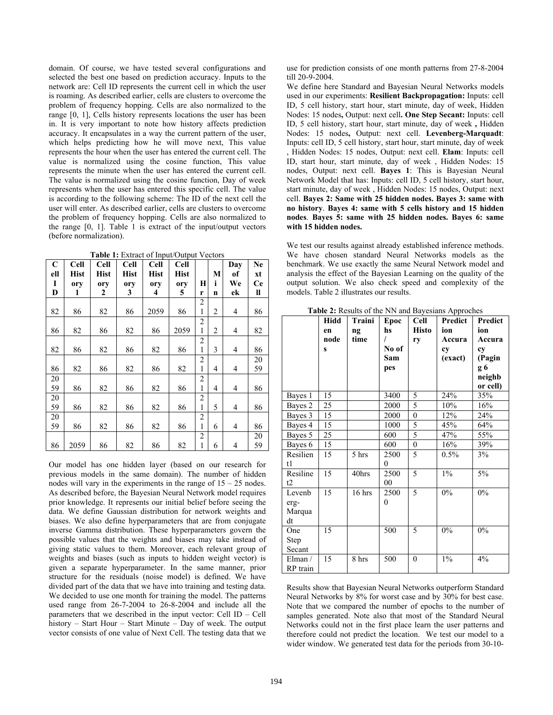domain. Of course, we have tested several configurations and selected the best one based on prediction accuracy. Inputs to the network are: Cell ID represents the current cell in which the user is roaming. As described earlier, cells are clusters to overcome the problem of frequency hopping. Cells are also normalized to the range [0, 1], Cells history represents locations the user has been in. It is very important to note how history affects prediction accuracy. It encapsulates in a way the current pattern of the user, which helps predicting how he will move next, This value represents the hour when the user has entered the current cell. The value is normalized using the cosine function, This value represents the minute when the user has entered the current cell. The value is normalized using the cosine function, Day of week represents when the user has entered this specific cell. The value is according to the following scheme: The ID of the next cell the user will enter. As described earlier, cells are clusters to overcome the problem of frequency hopping. Cells are also normalized to the range [0, 1]. Table 1 is extract of the input/output vectors (before normalization).

**Table 1:** Extract of Input/Output Vectors

| C   | <b>Cell</b> | <b>Cell</b>  | <b>Cell</b> | <b>Cell</b> | <b>Cell</b> |                |                | Day            | Ne |
|-----|-------------|--------------|-------------|-------------|-------------|----------------|----------------|----------------|----|
| ell | Hist        | Hist         | <b>Hist</b> | <b>Hist</b> | <b>Hist</b> |                | М              | of             | xt |
| I   | ory         | ory          | ory         | ory         | ory         | Н              | i              | We             | Ce |
| D   | 1           | $\mathbf{2}$ | 3           | 4           | 5           | r              | n              | ek             | Ħ  |
|     |             |              |             |             |             | $\overline{2}$ |                |                |    |
| 82  | 86          | 82           | 86          | 2059        | 86          | 1              | $\overline{c}$ | $\overline{4}$ | 86 |
|     |             |              |             |             |             | $\overline{2}$ |                |                |    |
| 86  | 82          | 86           | 82          | 86          | 2059        | 1              | $\overline{c}$ | 4              | 82 |
|     |             |              |             |             |             | 2              |                |                |    |
| 82  | 86          | 82           | 86          | 82          | 86          | 1              | 3              | 4              | 86 |
|     |             |              |             |             |             | 2              |                |                | 20 |
| 86  | 82          | 86           | 82          | 86          | 82          | 1              | 4              | 4              | 59 |
| 20  |             |              |             |             |             | 2              |                |                |    |
| 59  | 86          | 82           | 86          | 82          | 86          | 1              | 4              | 4              | 86 |
| 20  |             |              |             |             |             | $\overline{2}$ |                |                |    |
| 59  | 86          | 82           | 86          | 82          | 86          | 1              | 5              | $\overline{4}$ | 86 |
| 20  |             |              |             |             |             | 2              |                |                |    |
| 59  | 86          | 82           | 86          | 82          | 86          | 1              | 6              | $\overline{4}$ | 86 |
|     |             |              |             |             |             | 2              |                |                | 20 |
| 86  | 2059        | 86           | 82          | 86          | 82          | 1              | 6              | 4              | 59 |

Our model has one hidden layer (based on our research for previous models in the same domain). The number of hidden nodes will vary in the experiments in the range of  $15 - 25$  nodes. As described before, the Bayesian Neural Network model requires prior knowledge. It represents our initial belief before seeing the data. We define Gaussian distribution for network weights and biases. We also define hyperparameters that are from conjugate inverse Gamma distribution. These hyperparameters govern the possible values that the weights and biases may take instead of giving static values to them. Moreover, each relevant group of weights and biases (such as inputs to hidden weight vector) is given a separate hyperparameter. In the same manner, prior structure for the residuals (noise model) is defined. We have divided part of the data that we have into training and testing data. We decided to use one month for training the model. The patterns used range from 26-7-2004 to 26-8-2004 and include all the parameters that we described in the input vector: Cell ID – Cell history – Start Hour – Start Minute – Day of week. The output vector consists of one value of Next Cell. The testing data that we

use for prediction consists of one month patterns from 27-8-2004 till 20-9-2004.

We define here Standard and Bayesian Neural Networks models used in our experiments: **Resilient Backpropagation:** Inputs: cell ID, 5 cell history, start hour, start minute, day of week, Hidden Nodes: 15 nodes**,** Output: next cell**. One Step Secant:** Inputs: cell ID, 5 cell history, start hour, start minute, day of week **,** Hidden Nodes: 15 nodes**,** Output: next cell. **Levenberg-Marquadt**: Inputs: cell ID, 5 cell history, start hour, start minute, day of week , Hidden Nodes: 15 nodes, Output: next cell. **Elam**: Inputs: cell ID, start hour, start minute, day of week , Hidden Nodes: 15 nodes, Output: next cell. **Bayes 1**: This is Bayesian Neural Network Model that has: Inputs: cell ID, 5 cell history, start hour, start minute, day of week , Hidden Nodes: 15 nodes, Output: next cell. **Bayes 2: Same with 25 hidden nodes. Bayes 3: same with no history**. **Bayes 4: same with 5 cells history and 15 hidden nodes**. **Bayes 5: same with 25 hidden nodes. Bayes 6: same with 15 hidden nodes.** 

We test our results against already established inference methods. We have chosen standard Neural Networks models as the benchmark. We use exactly the same Neural Network model and analysis the effect of the Bayesian Learning on the quality of the output solution. We also check speed and complexity of the models. Table 2 illustrates our results.

**Table 2:** Results of the NN and Bayesians Approches

|           | Hidd         | Traini        | Epoc     | <b>Cell</b>      | Predict | Predict  |
|-----------|--------------|---------------|----------|------------------|---------|----------|
|           | en           | $\mathbf{ng}$ | hs       | <b>Histo</b>     | ion     | ion      |
|           | node         | time          | T        | ry               | Accura  | Accura   |
|           | $\mathbf{s}$ |               | No of    |                  | cy      | cy       |
|           |              |               | Sam      |                  | (exact) | (Pagin   |
|           |              |               | pes      |                  |         | g 6      |
|           |              |               |          |                  |         | neighb   |
|           |              |               |          |                  |         | or cell) |
| Bayes 1   | 15           |               | 3400     | 5                | 24%     | 35%      |
| Bayes 2   | 25           |               | 2000     | 5                | 10%     | 16%      |
| Bayes 3   | 15           |               | 2000     | $\boldsymbol{0}$ | 12%     | 24%      |
| Bayes 4   | 15           |               | 1000     | 5                | 45%     | 64%      |
| Bayes 5   | 25           |               | 600      | 5                | 47%     | 55%      |
| Bayes 6   | 15           |               | 600      | $\mathbf{0}$     | 16%     | 39%      |
| Resilien  | 15           | 5 hrs         | 2500     | 5                | 0.5%    | 3%       |
| t1        |              |               | $\theta$ |                  |         |          |
| Resiline  | 15           | 40hrs         | 2500     | 5                | $1\%$   | 5%       |
| t2        |              |               | 00       |                  |         |          |
| Levenb    | 15           | $16$ hrs      | 2500     | 5                | 0%      | 0%       |
| erg-      |              |               | $\theta$ |                  |         |          |
| Marqua    |              |               |          |                  |         |          |
| dt        |              |               |          |                  |         |          |
| One       | 15           |               | 500      | 5                | 0%      | 0%       |
| Step      |              |               |          |                  |         |          |
| Secant    |              |               |          |                  |         |          |
| Elman $/$ | 15           | 8 hrs         | 500      | $\theta$         | $1\%$   | 4%       |
| RP train  |              |               |          |                  |         |          |

Results show that Bayesian Neural Networks outperform Standard Neural Networks by 8% for worst case and by 30% for best case. Note that we compared the number of epochs to the number of samples generated. Note also that most of the Standard Neural Networks could not in the first place learn the user patterns and therefore could not predict the location. We test our model to a wider window. We generated test data for the periods from 30-10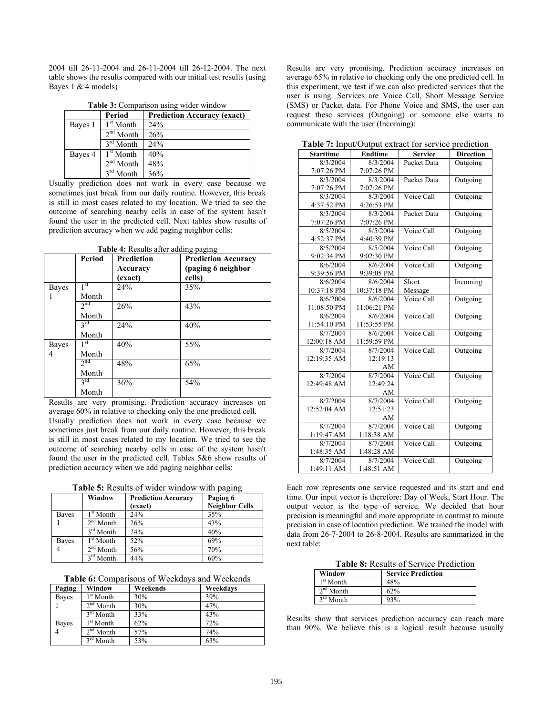2004 till 26-11-2004 and 26-11-2004 till 26-12-2004. The next table shows the results compared with our initial test results (using Bayes 1 & 4 models)

**Table 3:** Comparison using wider window

|         | Period             | <b>Prediction Accuracy (exact)</b> |
|---------|--------------------|------------------------------------|
| Bayes 1 | $1^{\rm st}$ Month | 24%                                |
|         | $2nd$ Month        | 26%                                |
|         | $3rd$ Month        | 24%                                |
| Bayes 4 | $1st$ Month        | 40%                                |
|         | $2nd$ Month        | 48%                                |
|         | $3rd$ Month        | 36%                                |

Usually prediction does not work in every case because we sometimes just break from our daily routine. However, this break is still in most cases related to my location. We tried to see the outcome of searching nearby cells in case of the system hasn't found the user in the predicted cell. Next tables show results of prediction accuracy when we add paging neighbor cells:

**Table 4:** Results after adding paging

|              | Period          | Prediction | <b>Prediction Accuracy</b> |
|--------------|-----------------|------------|----------------------------|
|              |                 | Accuracy   | (paging 6 neighbor         |
|              |                 | (exact)    | cells)                     |
| <b>Bayes</b> | 1 <sup>st</sup> | 24%        | 35%                        |
|              | Month           |            |                            |
|              | 2 <sup>nd</sup> | 26%        | 43%                        |
|              | Month           |            |                            |
|              | $2^{rd}$        | 24%        | 40%                        |
|              | Month           |            |                            |
| Bayes        | 1 <sup>st</sup> | 40%        | 55%                        |
| 4            | Month           |            |                            |
|              | 2 <sub>nd</sub> | 48%        | 65%                        |
|              | Month           |            |                            |
|              | $2^{rd}$        | 36%        | 54%                        |
|              | Month           |            |                            |

Results are very promising. Prediction accuracy increases on average 60% in relative to checking only the one predicted cell. Usually prediction does not work in every case because we sometimes just break from our daily routine. However, this break is still in most cases related to my location. We tried to see the outcome of searching nearby cells in case of the system hasn't found the user in the predicted cell. Tables 5&6 show results of prediction accuracy when we add paging neighbor cells:

| Table 5: Results of wider window with paging |  |  |  |  |  |  |
|----------------------------------------------|--|--|--|--|--|--|
|----------------------------------------------|--|--|--|--|--|--|

|       | Window                | <b>Prediction Accuracy</b><br>(exact) | Paging 6<br><b>Neighbor Cells</b> |
|-------|-----------------------|---------------------------------------|-----------------------------------|
| Bayes | 1 <sup>st</sup> Month | 24%                                   | 35%                               |
|       | $2nd$ Month           | 26%                                   | 43%                               |
|       | $3rd$ Month           | 24%                                   | 40%                               |
| Bayes | 1 <sup>st</sup> Month | 52%                                   | 69%                               |
| 4     | $2nd$ Month           | 56%                                   | 70%                               |
|       | $3rd$ Month           | 44%                                   | 60%                               |

**Table 6:** Comparisons of Weekdays and Weekends

| Paging | Window                | Weekends | Weekdavs |
|--------|-----------------------|----------|----------|
| Bayes  | $1st$ Month           | 30%      | 39%      |
|        | $2nd$ Month           | 30%      | 47%      |
|        | $3rd$ Month           | 33%      | 43%      |
| Bayes  | 1 <sup>st</sup> Month | 62%      | 72%      |
|        | $2nd$ Month           | 57%      | 74%      |
|        | 3 <sup>rd</sup> Month | 53%      | 63%      |

Results are very promising. Prediction accuracy increases on average 65% in relative to checking only the one predicted cell. In this experiment, we test if we can also predicted services that the user is using. Services are Voice Call, Short Message Service (SMS) or Packet data. For Phone Voice and SMS, the user can request these services (Outgoing) or someone else wants to communicate with the user (Incoming):

| <b>Starttime</b> | <b>Endtime</b> | <b>Service</b>                  | <b>Direction</b> |
|------------------|----------------|---------------------------------|------------------|
| 8/3/2004         | 8/3/2004       | Packet Data                     | Outgoing         |
| 7:07:26 PM       | 7:07:26 PM     |                                 |                  |
| 8/3/2004         | 8/3/2004       | Packet Data                     | Outgoing         |
| 7:07:26 PM       | 7:07:26 PM     |                                 |                  |
| 8/3/2004         | 8/3/2004       | Voice Call                      | Outgoing         |
| 4:37:52 PM       | 4:26:53 PM     |                                 |                  |
| 8/3/2004         | 8/3/2004       | Packet Data                     | Outgoing         |
| 7:07:26 PM       | 7:07:26 PM     |                                 |                  |
| 8/5/2004         | 8/5/2004       | Voice Call                      | Outgoing         |
| 4:52:37 PM       | 4:40:39 PM     |                                 |                  |
| 8/5/2004         | 8/5/2004       | Voice Call                      | Outgoing         |
| 9:02:34 PM       | 9:02:30 PM     |                                 |                  |
| 8/6/2004         | 8/6/2004       | Voice Call                      | Outgoing         |
| 9:39:56 PM       | 9:39:05 PM     |                                 |                  |
| 8/6/2004         | 8/6/2004       | Short                           | Incoming         |
| 10:37:18 PM      | 10:37:18 PM    | Message                         |                  |
| 8/6/2004         | 8/6/2004       | $\overline{\text{V}}$ oice Call | Outgoing         |
| 11:08:50 PM      | 11:06:21 PM    |                                 |                  |
| 8/6/2004         | 8/6/2004       | Voice Call                      | Outgoing         |
| 11:54:10 PM      | 11:53:55 PM    |                                 |                  |
| 8/7/2004         | 8/6/2004       | Voice Call                      | Outgoing         |
| 12:00:18 AM      | 11:59:59 PM    |                                 |                  |
| 8/7/2004         | 8/7/2004       | Voice Call                      | Outgoing         |
| 12:19:35 AM      | 12:19:13       |                                 |                  |
|                  | AM             |                                 |                  |
| 8/7/2004         | 8/7/2004       | Voice Call                      | Outgoing         |
| 12:49:48 AM      | 12:49:24       |                                 |                  |
|                  | AM             |                                 |                  |
| 8/7/2004         | 8/7/2004       | Voice Call                      | Outgoing         |
| 12:52:04 AM      | 12:51:23       |                                 |                  |
|                  | AM             |                                 |                  |
| 8/7/2004         | 8/7/2004       | Voice Call                      | Outgoing         |
| 1:19:47 AM       | 1:18:38 AM     |                                 |                  |
| 8/7/2004         | 8/7/2004       | Voice Call                      | Outgoing         |
| 1:48:35 AM       | 1:48:28 AM     |                                 |                  |
| 8/7/2004         | 8/7/2004       | Voice Call                      | Outgoing         |
| 1:49:11 AM       | 1:48:51 AM     |                                 |                  |

**Table 7:** Input/Output extract for service prediction

Each row represents one service requested and its start and end time. Our input vector is therefore: Day of Week, Start Hour. The output vector is the type of service. We decided that hour precision is meaningful and more appropriate in contrast to minute precision in case of location prediction. We trained the model with data from 26-7-2004 to 26-8-2004. Results are summarized in the next table:

**Table 8:** Results of Service Prediction

| Window                | <b>Service Prediction</b> |
|-----------------------|---------------------------|
| $1st$ Month           | 48%                       |
| $2nd$ Month           | 62%                       |
| 3 <sup>rd</sup> Month | 93%                       |

Results show that services prediction accuracy can reach more than 90%. We believe this is a logical result because usually